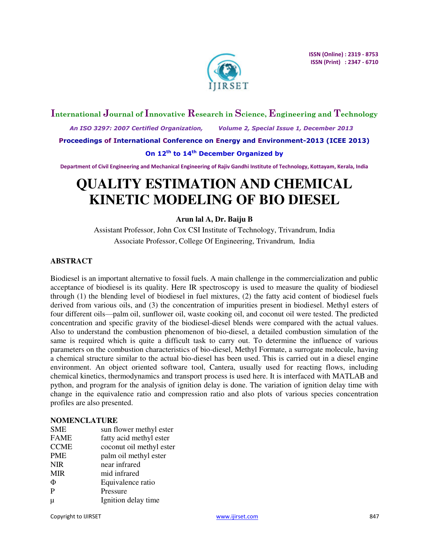

## **International Journal of Innovative Research in Science, Engineering and Technology**

 *An ISO 3297: 2007 Certified Organization, Volume 2, Special Issue 1, December 2013* 

**Proceedings of International Conference on Energy and Environment-2013 (ICEE 2013)** 

## **On 12th to 14th December Organized by**

**Department of Civil Engineering and Mechanical Engineering of Rajiv Gandhi Institute of Technology, Kottayam, Kerala, India** 

# **QUALITY ESTIMATION AND CHEMICAL KINETIC MODELING OF BIO DIESEL**

## **Arun lal A, Dr. Baiju B**

Assistant Professor, John Cox CSI Institute of Technology, Trivandrum, India Associate Professor, College Of Engineering, Trivandrum, India

## **ABSTRACT**

Biodiesel is an important alternative to fossil fuels. A main challenge in the commercialization and public acceptance of biodiesel is its quality. Here IR spectroscopy is used to measure the quality of biodiesel through (1) the blending level of biodiesel in fuel mixtures, (2) the fatty acid content of biodiesel fuels derived from various oils, and (3) the concentration of impurities present in biodiesel. Methyl esters of four different oils—palm oil, sunflower oil, waste cooking oil, and coconut oil were tested. The predicted concentration and specific gravity of the biodiesel-diesel blends were compared with the actual values. Also to understand the combustion phenomenon of bio-diesel, a detailed combustion simulation of the same is required which is quite a difficult task to carry out. To determine the influence of various parameters on the combustion characteristics of bio-diesel, Methyl Formate, a surrogate molecule, having a chemical structure similar to the actual bio-diesel has been used. This is carried out in a diesel engine environment. An object oriented software tool, Cantera, usually used for reacting flows, including chemical kinetics, thermodynamics and transport process is used here. It is interfaced with MATLAB and python, and program for the analysis of ignition delay is done. The variation of ignition delay time with change in the equivalence ratio and compression ratio and also plots of various species concentration profiles are also presented.

## **NOMENCLATURE**

| <b>SME</b>  | sun flower methyl ester  |
|-------------|--------------------------|
| <b>FAME</b> | fatty acid methyl ester  |
| <b>CCME</b> | coconut oil methyl ester |
| <b>PME</b>  | palm oil methyl ester    |
| <b>NIR</b>  | near infrared            |
| <b>MIR</b>  | mid infrared             |
| Φ           | Equivalence ratio        |
| P           | Pressure                 |
| μ           | Ignition delay time      |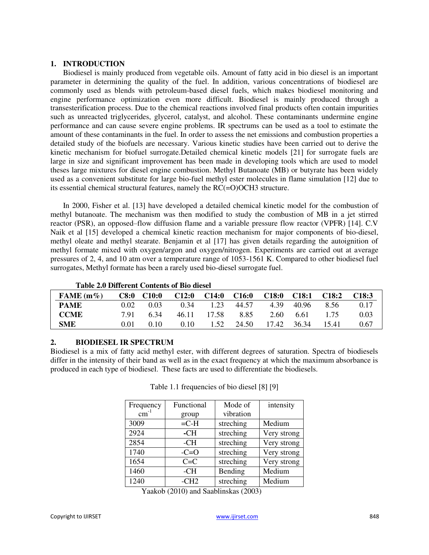#### **1. INTRODUCTION**

Biodiesel is mainly produced from vegetable oils. Amount of fatty acid in bio diesel is an important parameter in determining the quality of the fuel. In addition, various concentrations of biodiesel are commonly used as blends with petroleum-based diesel fuels, which makes biodiesel monitoring and engine performance optimization even more difficult. Biodiesel is mainly produced through a transesterification process. Due to the chemical reactions involved final products often contain impurities such as unreacted triglycerides, glycerol, catalyst, and alcohol. These contaminants undermine engine performance and can cause severe engine problems. IR spectrums can be used as a tool to estimate the amount of these contaminants in the fuel. In order to assess the net emissions and combustion properties a detailed study of the biofuels are necessary. Various kinetic studies have been carried out to derive the kinetic mechanism for biofuel surrogate.Detailed chemical kinetic models [21] for surrogate fuels are large in size and significant improvement has been made in developing tools which are used to model theses large mixtures for diesel engine combustion. Methyl Butanoate (MB) or butyrate has been widely used as a convenient substitute for large bio-fuel methyl ester molecules in flame simulation [12] due to its essential chemical structural features, namely the RC(=O)OCH3 structure.

In 2000, Fisher et al. [13] have developed a detailed chemical kinetic model for the combustion of methyl butanoate. The mechanism was then modified to study the combustion of MB in a jet stirred reactor (PSR), an opposed–flow diffusion flame and a variable pressure flow reactor (VPFR) [14]. C.V Naik et al [15] developed a chemical kinetic reaction mechanism for major components of bio-diesel, methyl oleate and methyl stearate. Benjamin et al [17] has given details regarding the autoignition of methyl formate mixed with oxygen/argon and oxygen/nitrogen. Experiments are carried out at average pressures of 2, 4, and 10 atm over a temperature range of 1053-1561 K. Compared to other biodiesel fuel surrogates, Methyl formate has been a rarely used bio-diesel surrogate fuel.

## **Table 2.0 Different Contents of Bio diesel**

| FAME $(m\%)$ | C8:0 | C10:0 | C12:0 | C14:0 | C16:0 | C18:0 | C <sub>18:1</sub> | C <sub>18:2</sub> | C <sub>18:3</sub> |
|--------------|------|-------|-------|-------|-------|-------|-------------------|-------------------|-------------------|
| <b>PAME</b>  | 0.02 | 0.03  | 0.34  | 1.23  | 44.57 | 4.39  | 40.96             | 8.56              | 0.17              |
| <b>CCME</b>  | 7.91 | 6.34  | 46.11 | 17.58 | 8.85  | 2.60  | 6.61              | 1.75              | 0.03              |
| <b>SME</b>   | 0.01 | 0.10  | 0.10  | 1.52  | 24.50 | 17.42 | 36.34             | 15.41             | 0.67              |

## **2. BIODIESEL IR SPECTRUM**

Biodiesel is a mix of fatty acid methyl ester, with different degrees of saturation. Spectra of biodiesels differ in the intensity of their band as well as in the exact frequency at which the maximum absorbance is produced in each type of biodiesel. These facts are used to differentiate the biodiesels.

| Frequency | Functional | Mode of   | intensity   |
|-----------|------------|-----------|-------------|
| $cm^{-1}$ | group      | vibration |             |
| 3009      | $=$ C-H    | streching | Medium      |
| 2924      | -CH        | streching | Very strong |
| 2854      | -CH        | streching | Very strong |
| 1740      | $-C=O$     | streching | Very strong |
| 1654      | $C = C$    | streching | Very strong |
| 1460      | -CH        | Bending   | Medium      |
| 1240      | $-CH2$     | streching | Medium      |

Table 1.1 frequencies of bio diesel [8] [9]

Yaakob (2010) and Saablinskas (2003)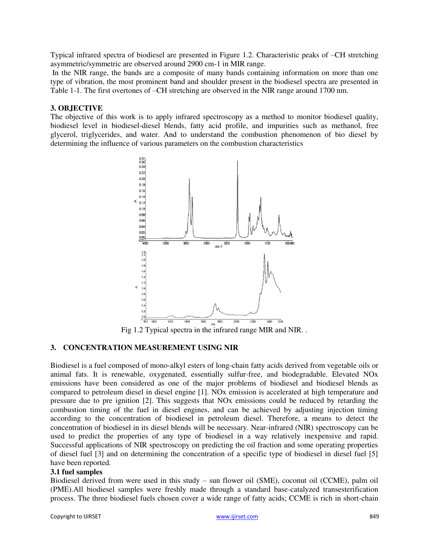Typical infrared spectra of biodiesel are presented in Figure 1.2. Characteristic peaks of –CH stretching asymmetric/symmetric are observed around 2900 cm-1 in MIR range.

 In the NIR range, the bands are a composite of many bands containing information on more than one type of vibration, the most prominent band and shoulder present in the biodiesel spectra are presented in Table 1-1. The first overtones of –CH stretching are observed in the NIR range around 1700 nm.

## **3. OBJECTIVE**

The objective of this work is to apply infrared spectroscopy as a method to monitor biodiesel quality, biodiesel level in biodiesel-diesel blends, fatty acid profile, and impurities such as methanol, free glycerol, triglycerides, and water. And to understand the combustion phenomenon of bio diesel by determining the influence of various parameters on the combustion characteristics



Fig 1.2 Typical spectra in the infrared range MIR and NIR. .

## **3. CONCENTRATION MEASUREMENT USING NIR**

Biodiesel is a fuel composed of mono-alkyl esters of long-chain fatty acids derived from vegetable oils or animal fats. It is renewable, oxygenated, essentially sulfur-free, and biodegradable. Elevated NOx emissions have been considered as one of the major problems of biodiesel and biodiesel blends as compared to petroleum diesel in diesel engine [1]. NOx emission is accelerated at high temperature and pressure due to pre ignition [2]. This suggests that NOx emissions could be reduced by retarding the combustion timing of the fuel in diesel engines, and can be achieved by adjusting injection timing according to the concentration of biodiesel in petroleum diesel. Therefore, a means to detect the concentration of biodiesel in its diesel blends will be necessary. Near-infrared (NIR) spectroscopy can be used to predict the properties of any type of biodiesel in a way relatively inexpensive and rapid. Successful applications of NIR spectroscopy on predicting the oil fraction and some operating properties of diesel fuel [3] and on determining the concentration of a specific type of biodiesel in diesel fuel [5] have been reported.

## **3.1 fuel samples**

Biodiesel derived from were used in this study – sun flower oil (SME), coconut oil (CCME), palm oil (PME).All biodiesel samples were freshly made through a standard base-catalyzed transesterification process. The three biodiesel fuels chosen cover a wide range of fatty acids; CCME is rich in short-chain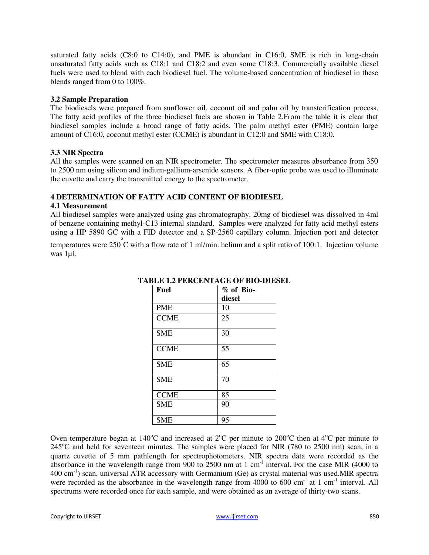saturated fatty acids (C8:0 to C14:0), and PME is abundant in C16:0, SME is rich in long-chain unsaturated fatty acids such as C18:1 and C18:2 and even some C18:3. Commercially available diesel fuels were used to blend with each biodiesel fuel. The volume-based concentration of biodiesel in these blends ranged from 0 to 100%.

#### **3.2 Sample Preparation**

The biodiesels were prepared from sunflower oil, coconut oil and palm oil by transterification process. The fatty acid profiles of the three biodiesel fuels are shown in Table 2.From the table it is clear that biodiesel samples include a broad range of fatty acids. The palm methyl ester (PME) contain large amount of C16:0, coconut methyl ester (CCME) is abundant in C12:0 and SME with C18:0.

## **3.3 NIR Spectra**

All the samples were scanned on an NIR spectrometer. The spectrometer measures absorbance from 350 to 2500 nm using silicon and indium-gallium-arsenide sensors. A fiber-optic probe was used to illuminate the cuvette and carry the transmitted energy to the spectrometer.

## **4 DETERMINATION OF FATTY ACID CONTENT OF BIODIESEL**

#### **4.1 Measurement**

All biodiesel samples were analyzed using gas chromatography. 20mg of biodiesel was dissolved in 4ml of benzene containing methyl-C13 internal standard. Samples were analyzed for fatty acid methyl esters using a HP 5890 GC with a FID detector and a SP-2560 capillary column. Injection port and detector

temperatures were 250  $\degree$ C with a flow rate of 1 ml/min. helium and a split ratio of 100:1. Injection volume was 1µl.

| <b>Fuel</b> | $%$ of Bio- |  |  |
|-------------|-------------|--|--|
|             | diesel      |  |  |
| <b>PME</b>  | 10          |  |  |
| <b>CCME</b> | 25          |  |  |
| <b>SME</b>  | 30          |  |  |
| <b>CCME</b> | 55          |  |  |
| <b>SME</b>  | 65          |  |  |
| <b>SME</b>  | 70          |  |  |
| <b>CCME</b> | 85          |  |  |
| <b>SME</b>  | 90          |  |  |
| <b>SME</b>  | 95          |  |  |

#### **TABLE 1.2 PERCENTAGE OF BIO-DIESEL**

Oven temperature began at  $140^{\circ}$ C and increased at  $2^{\circ}$ C per minute to  $200^{\circ}$ C then at  $4^{\circ}$ C per minute to  $245^{\circ}$ C and held for seventeen minutes. The samples were placed for NIR (780 to 2500 nm) scan, in a quartz cuvette of 5 mm pathlength for spectrophotometers. NIR spectra data were recorded as the absorbance in the wavelength range from  $900$  to  $2500$  nm at 1 cm<sup>-1</sup> interval. For the case MIR (4000 to  $400 \text{ cm}^{-1}$ ) scan, universal ATR accessory with Germanium (Ge) as crystal material was used.MIR spectra were recorded as the absorbance in the wavelength range from 4000 to 600 cm<sup>-1</sup> at 1 cm<sup>-1</sup> interval. All spectrums were recorded once for each sample, and were obtained as an average of thirty-two scans.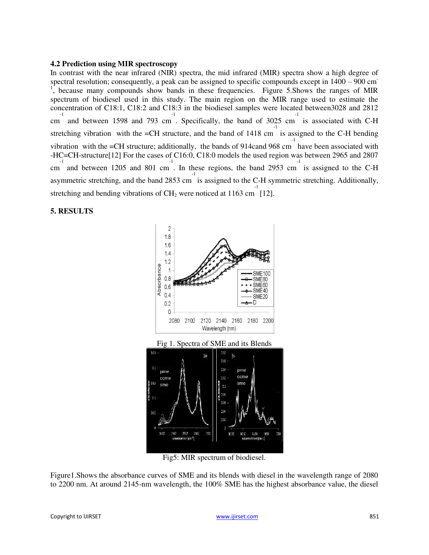#### **4.2 Prediction using MIR spectroscopy**

In contrast with the near infrared (NIR) spectra, the mid infrared (MIR) spectra show a high degree of spectral resolution; consequently, a peak can be assigned to specific compounds except in  $1400 - 900$  cm <sup>1</sup>, because many compounds show bands in these frequencies. Figure 5. Shows the ranges of MIR spectrum of biodiesel used in this study. The main region on the MIR range used to estimate the concentration of C18:1, C18:2 and C18:3 in the biodiesel samples were located between3028 and 2812 <sup>-1</sup> cm and between 1598 and 793 cm. Specifically, the band of 3025 cm is associated with C-H stretching vibration with the =CH structure, and the band of  $1418 \text{ cm}^{-1}$  is assigned to the C-H bending vibration with the  $=$ CH structure; additionally, the bands of 914cand 968 cm have been associated with -HC=CH-structure[12] For the cases of C16:0, C18:0 models the used region was between 2965 and 2807 <sup>-1</sup> cm and between 1205 and 801 cm. In these regions, the band 2953 cm is assigned to the C-H asymmetric stretching, and the band 2853 cm is assigned to the C-H symmetric stretching. Additionally, stretching and bending vibrations of  $CH_2$  were noticed at 1163 cm [12]. -1

#### **5. RESULTS**





Fig5: MIR spectrum of biodiesel.

Figure1.Shows the absorbance curves of SME and its blends with diesel in the wavelength range of 2080 to 2200 nm. At around 2145-nm wavelength, the 100% SME has the highest absorbance value, the diesel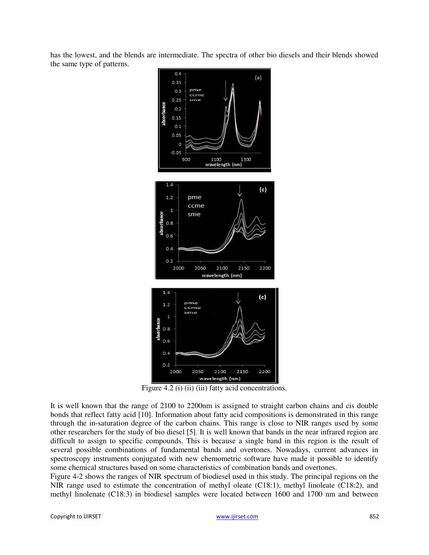has the lowest, and the blends are intermediate. The spectra of other bio diesels and their blends showed the same type of patterns.



Figure 4.2 (i) (ii) (iii) fatty acid concentrations.

It is well known that the range of 2100 to 2200nm is assigned to straight carbon chains and cis double bonds that reflect fatty acid [10]. Information about fatty acid compositions is demonstrated in this range through the in-saturation degree of the carbon chains. This range is close to NIR ranges used by some other researchers for the study of bio diesel [5]. It is well known that bands in the near infrared region are difficult to assign to specific compounds. This is because a single band in this region is the result of several possible combinations of fundamental bands and overtones. Nowadays, current advances in spectroscopy instruments conjugated with new chemometric software have made it possible to identify some chemical structures based on some characteristics of combination bands and overtones.

Figure 4-2 shows the ranges of NIR spectrum of biodiesel used in this study. The principal regions on the NIR range used to estimate the concentration of methyl oleate (C18:1), methyl linoleate (C18:2), and methyl linolenate (C18:3) in biodiesel samples were located between 1600 and 1700 nm and between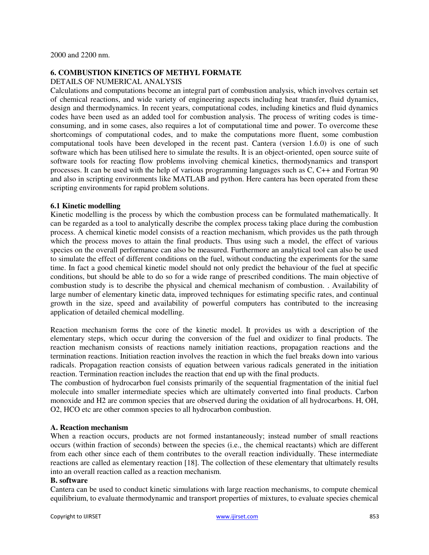## **6. COMBUSTION KINETICS OF METHYL FORMATE**

## DETAILS OF NUMERICAL ANALYSIS

Calculations and computations become an integral part of combustion analysis, which involves certain set of chemical reactions, and wide variety of engineering aspects including heat transfer, fluid dynamics, design and thermodynamics. In recent years, computational codes, including kinetics and fluid dynamics codes have been used as an added tool for combustion analysis. The process of writing codes is timeconsuming, and in some cases, also requires a lot of computational time and power. To overcome these shortcomings of computational codes, and to make the computations more fluent, some combustion computational tools have been developed in the recent past. Cantera (version 1.6.0) is one of such software which has been utilised here to simulate the results. It is an object-oriented, open source suite of software tools for reacting flow problems involving chemical kinetics, thermodynamics and transport processes. It can be used with the help of various programming languages such as C, C++ and Fortran 90 and also in scripting environments like MATLAB and python. Here cantera has been operated from these scripting environments for rapid problem solutions.

#### **6.1 Kinetic modelling**

Kinetic modelling is the process by which the combustion process can be formulated mathematically. It can be regarded as a tool to analytically describe the complex process taking place during the combustion process. A chemical kinetic model consists of a reaction mechanism, which provides us the path through which the process moves to attain the final products. Thus using such a model, the effect of various species on the overall performance can also be measured. Furthermore an analytical tool can also be used to simulate the effect of different conditions on the fuel, without conducting the experiments for the same time. In fact a good chemical kinetic model should not only predict the behaviour of the fuel at specific conditions, but should be able to do so for a wide range of prescribed conditions. The main objective of combustion study is to describe the physical and chemical mechanism of combustion. . Availability of large number of elementary kinetic data, improved techniques for estimating specific rates, and continual growth in the size, speed and availability of powerful computers has contributed to the increasing application of detailed chemical modelling.

Reaction mechanism forms the core of the kinetic model. It provides us with a description of the elementary steps, which occur during the conversion of the fuel and oxidizer to final products. The reaction mechanism consists of reactions namely initiation reactions, propagation reactions and the termination reactions. Initiation reaction involves the reaction in which the fuel breaks down into various radicals. Propagation reaction consists of equation between various radicals generated in the initiation reaction. Termination reaction includes the reaction that end up with the final products.

The combustion of hydrocarbon fuel consists primarily of the sequential fragmentation of the initial fuel molecule into smaller intermediate species which are ultimately converted into final products. Carbon monoxide and H2 are common species that are observed during the oxidation of all hydrocarbons. H, OH, O2, HCO etc are other common species to all hydrocarbon combustion.

## **A. Reaction mechanism**

When a reaction occurs, products are not formed instantaneously; instead number of small reactions occurs (within fraction of seconds) between the species (i.e., the chemical reactants) which are different from each other since each of them contributes to the overall reaction individually. These intermediate reactions are called as elementary reaction [18]. The collection of these elementary that ultimately results into an overall reaction called as a reaction mechanism.

#### **B. software**

Cantera can be used to conduct kinetic simulations with large reaction mechanisms, to compute chemical equilibrium, to evaluate thermodynamic and transport properties of mixtures, to evaluate species chemical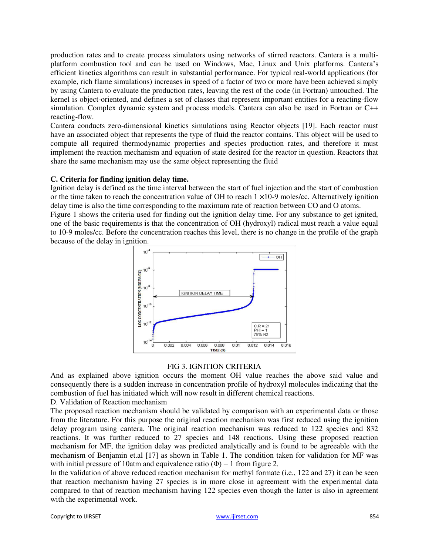production rates and to create process simulators using networks of stirred reactors. Cantera is a multiplatform combustion tool and can be used on Windows, Mac, Linux and Unix platforms. Cantera's efficient kinetics algorithms can result in substantial performance. For typical real-world applications (for example, rich flame simulations) increases in speed of a factor of two or more have been achieved simply by using Cantera to evaluate the production rates, leaving the rest of the code (in Fortran) untouched. The kernel is object-oriented, and defines a set of classes that represent important entities for a reacting-flow simulation. Complex dynamic system and process models. Cantera can also be used in Fortran or C++ reacting-flow.

Cantera conducts zero-dimensional kinetics simulations using Reactor objects [19]. Each reactor must have an associated object that represents the type of fluid the reactor contains. This object will be used to compute all required thermodynamic properties and species production rates, and therefore it must implement the reaction mechanism and equation of state desired for the reactor in question. Reactors that share the same mechanism may use the same object representing the fluid

#### **C. Criteria for finding ignition delay time.**

Ignition delay is defined as the time interval between the start of fuel injection and the start of combustion or the time taken to reach the concentration value of OH to reach 1 ×10-9 moles/cc. Alternatively ignition delay time is also the time corresponding to the maximum rate of reaction between CO and O atoms.

Figure 1 shows the criteria used for finding out the ignition delay time. For any substance to get ignited, one of the basic requirements is that the concentration of OH (hydroxyl) radical must reach a value equal to 10-9 moles/cc. Before the concentration reaches this level, there is no change in the profile of the graph because of the delay in ignition.



#### FIG 3. IGNITION CRITERIA

And as explained above ignition occurs the moment OH value reaches the above said value and consequently there is a sudden increase in concentration profile of hydroxyl molecules indicating that the combustion of fuel has initiated which will now result in different chemical reactions.

D. Validation of Reaction mechanism

The proposed reaction mechanism should be validated by comparison with an experimental data or those from the literature. For this purpose the original reaction mechanism was first reduced using the ignition delay program using cantera. The original reaction mechanism was reduced to 122 species and 832 reactions. It was further reduced to 27 species and 148 reactions. Using these proposed reaction mechanism for MF, the ignition delay was predicted analytically and is found to be agreeable with the mechanism of Benjamin et.al [17] as shown in Table 1. The condition taken for validation for MF was with initial pressure of 10atm and equivalence ratio ( $\Phi$ ) = 1 from figure 2.

In the validation of above reduced reaction mechanism for methyl formate (i.e., 122 and 27) it can be seen that reaction mechanism having 27 species is in more close in agreement with the experimental data compared to that of reaction mechanism having 122 species even though the latter is also in agreement with the experimental work.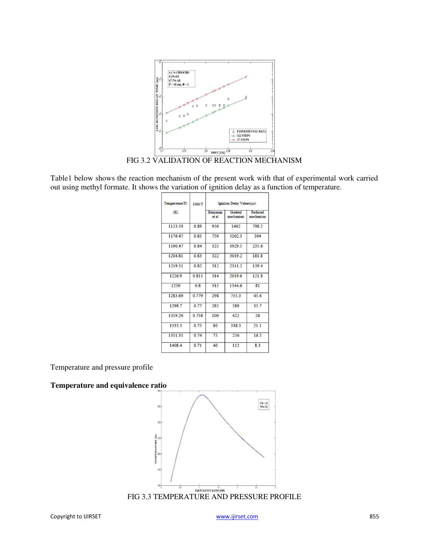

FIG 3.2 VALIDATION OF REACTION MECHANISM

Table1 below shows the reaction mechanism of the present work with that of experimental work carried out using methyl formate. It shows the variation of ignition delay as a function of temperature.

| Temperature(T) | 1000/T | Ignition Delay Values(us) |                              |                      |  |
|----------------|--------|---------------------------|------------------------------|----------------------|--|
| (K)            |        | Benjamin<br>et al         | <b>Skeletal</b><br>mechanism | Reduced<br>mechanism |  |
| 1123.59        | 0.89   | 950                       | 1402                         | 798.2                |  |
| 1176.47        | 0.85   | 750                       | 51023                        | 304                  |  |
| 119047         | 0.84   | 325                       | 3929.5                       | 235.6                |  |
| 1204.81        | 0.83   | 322                       | 3019.2                       | 181.8                |  |
| 1219.51        | 0.82   | 312                       | 2311.2                       | 139.4                |  |
| 1226.9         | 0.815  | 314                       | 2019.6                       | 121.8                |  |
| 1250           | 0.8    | 315                       | 1344.6                       | 81                   |  |
| 1283.69        | 0.779  | 298                       | 755.3                        | 45.6                 |  |
| 1298.7         | 0.77   | 285                       | 589                          | 35.7                 |  |
| 1319.26        | 0.758  | 100                       | 422                          | 26                   |  |
| 13333          | 0.75   | 80                        | 3383                         | 211                  |  |
| 1351.35        | 0.74   | 75                        | 256                          | 16.5                 |  |
| 14084          | 0.71   | 40                        | 112                          | 83                   |  |

Temperature and pressure profile

#### **Temperature and equivalence ratio**



FIG 3.3 TEMPERATURE AND PRESSURE PROFILE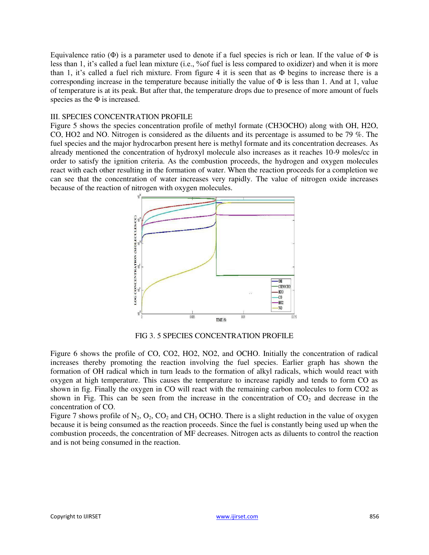Equivalence ratio ( $\Phi$ ) is a parameter used to denote if a fuel species is rich or lean. If the value of  $\Phi$  is less than 1, it's called a fuel lean mixture (i.e., %of fuel is less compared to oxidizer) and when it is more than 1, it's called a fuel rich mixture. From figure 4 it is seen that as Φ begins to increase there is a corresponding increase in the temperature because initially the value of  $\Phi$  is less than 1. And at 1, value of temperature is at its peak. But after that, the temperature drops due to presence of more amount of fuels species as the  $\Phi$  is increased.

#### III. SPECIES CONCENTRATION PROFILE

Figure 5 shows the species concentration profile of methyl formate (CH3OCHO) along with OH, H2O, CO, HO2 and NO. Nitrogen is considered as the diluents and its percentage is assumed to be 79 %. The fuel species and the major hydrocarbon present here is methyl formate and its concentration decreases. As already mentioned the concentration of hydroxyl molecule also increases as it reaches 10-9 moles/cc in order to satisfy the ignition criteria. As the combustion proceeds, the hydrogen and oxygen molecules react with each other resulting in the formation of water. When the reaction proceeds for a completion we can see that the concentration of water increases very rapidly. The value of nitrogen oxide increases because of the reaction of nitrogen with oxygen molecules.



FIG 3. 5 SPECIES CONCENTRATION PROFILE

Figure 6 shows the profile of CO, CO2, HO2, NO2, and OCHO. Initially the concentration of radical increases thereby promoting the reaction involving the fuel species. Earlier graph has shown the formation of OH radical which in turn leads to the formation of alkyl radicals, which would react with oxygen at high temperature. This causes the temperature to increase rapidly and tends to form CO as shown in fig. Finally the oxygen in CO will react with the remaining carbon molecules to form CO2 as shown in Fig. This can be seen from the increase in the concentration of  $CO<sub>2</sub>$  and decrease in the concentration of CO.

Figure 7 shows profile of  $N_2$ ,  $O_2$ ,  $CO_2$  and  $CH_3$  OCHO. There is a slight reduction in the value of oxygen because it is being consumed as the reaction proceeds. Since the fuel is constantly being used up when the combustion proceeds, the concentration of MF decreases. Nitrogen acts as diluents to control the reaction and is not being consumed in the reaction.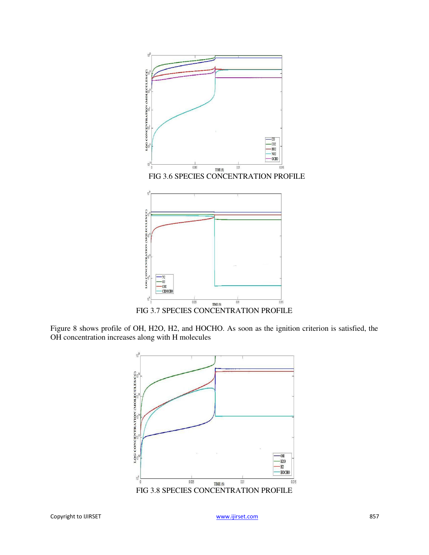

Figure 8 shows profile of OH, H2O, H2, and HOCHO. As soon as the ignition criterion is satisfied, the OH concentration increases along with H molecules

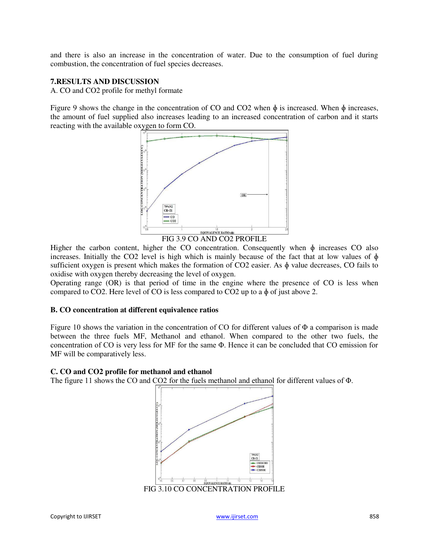and there is also an increase in the concentration of water. Due to the consumption of fuel during combustion, the concentration of fuel species decreases.

## **7.RESULTS AND DISCUSSION**

A. CO and CO2 profile for methyl formate

Figure 9 shows the change in the concentration of CO and CO2 when  $\phi$  is increased. When  $\phi$  increases, the amount of fuel supplied also increases leading to an increased concentration of carbon and it starts reacting with the available oxygen to form CO.



FIG 3.9 CO AND CO2 PROFILE

Higher the carbon content, higher the CO concentration. Consequently when  $\phi$  increases CO also increases. Initially the CO2 level is high which is mainly because of the fact that at low values of  $\phi$ sufficient oxygen is present which makes the formation of  $CO2$  easier. As  $\phi$  value decreases, CO fails to oxidise with oxygen thereby decreasing the level of oxygen.

Operating range (OR) is that period of time in the engine where the presence of CO is less when compared to CO2. Here level of CO is less compared to CO2 up to a ɸ of just above 2.

## **B. CO concentration at different equivalence ratios**

Figure 10 shows the variation in the concentration of CO for different values of Φ a comparison is made between the three fuels MF, Methanol and ethanol. When compared to the other two fuels, the concentration of CO is very less for MF for the same Φ. Hence it can be concluded that CO emission for MF will be comparatively less.

#### **C. CO and CO2 profile for methanol and ethanol**

The figure 11 shows the CO and CO2 for the fuels methanol and ethanol for different values of Φ.

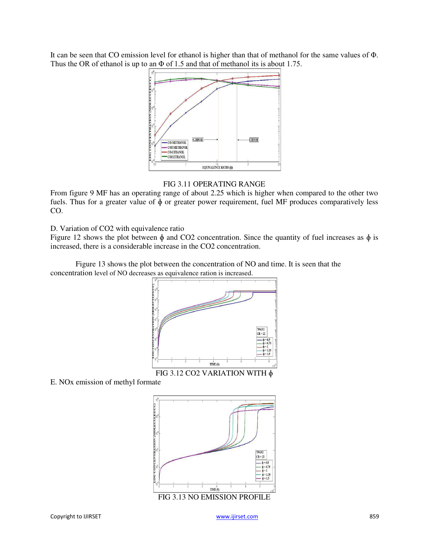It can be seen that CO emission level for ethanol is higher than that of methanol for the same values of Φ. Thus the OR of ethanol is up to an Φ of 1.5 and that of methanol its is about 1.75.



FIG 3.11 OPERATING RANGE

From figure 9 MF has an operating range of about 2.25 which is higher when compared to the other two fuels. Thus for a greater value of ɸ or greater power requirement, fuel MF produces comparatively less CO.

## D. Variation of CO2 with equivalence ratio

Figure 12 shows the plot between  $\phi$  and CO2 concentration. Since the quantity of fuel increases as  $\phi$  is increased, there is a considerable increase in the CO2 concentration.

Figure 13 shows the plot between the concentration of NO and time. It is seen that the concentration level of NO decreases as equivalence ration is increased.



FIG 3.12 CO2 VARIATION WITH ɸ

E. NOx emission of methyl formate

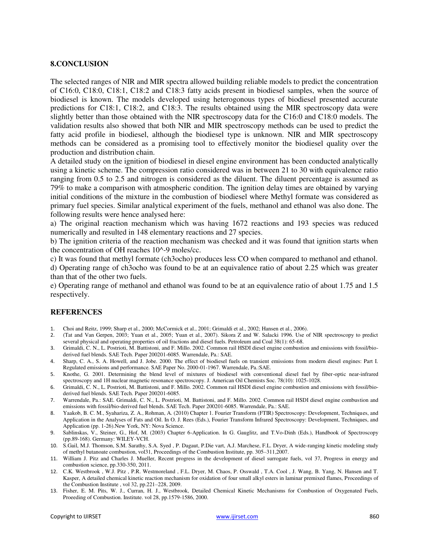#### **8.CONCLUSION**

The selected ranges of NIR and MIR spectra allowed building reliable models to predict the concentration of C16:0, C18:0, C18:1, C18:2 and C18:3 fatty acids present in biodiesel samples, when the source of biodiesel is known. The models developed using heterogonous types of biodiesel presented accurate predictions for C18:1, C18:2, and C18:3. The results obtained using the MIR spectroscopy data were slightly better than those obtained with the NIR spectroscopy data for the C16:0 and C18:0 models. The validation results also showed that both NIR and MIR spectroscopy methods can be used to predict the fatty acid profile in biodiesel, although the biodiesel type is unknown. NIR and MIR spectroscopy methods can be considered as a promising tool to effectively monitor the biodiesel quality over the production and distribution chain.

A detailed study on the ignition of biodiesel in diesel engine environment has been conducted analytically using a kinetic scheme. The compression ratio considered was in between 21 to 30 with equivalence ratio ranging from 0.5 to 2.5 and nitrogen is considered as the diluent. The diluent percentage is assumed as 79% to make a comparison with atmospheric condition. The ignition delay times are obtained by varying initial conditions of the mixture in the combustion of biodiesel where Methyl formate was considered as primary fuel species. Similar analytical experiment of the fuels, methanol and ethanol was also done. The following results were hence analysed here:

a) The original reaction mechanism which was having 1672 reactions and 193 species was reduced numerically and resulted in 148 elementary reactions and 27 species.

b) The ignition criteria of the reaction mechanism was checked and it was found that ignition starts when the concentration of OH reaches 10^-9 moles/cc.

c) It was found that methyl formate (ch3ocho) produces less CO when compared to methanol and ethanol.

d) Operating range of ch3ocho was found to be at an equivalence ratio of about 2.25 which was greater than that of the other two fuels.

e) Operating range of methanol and ethanol was found to be at an equivalence ratio of about 1.75 and 1.5 respectively.

#### **REFERENCES**

- 1. Choi and Reitz, 1999; Sharp et al., 2000; McCormick et al., 2001; Grimaldi et al., 2002; Hansen et al., 2006).<br>2. (Tat and Van Gernen, 2003; Yuan et al., 2005; Yuan et al., 2007). Sikora Z and W. Salacki 1996. Use o
- 2. (Tat and Van Gerpen, 2003; Yuan et al., 2005; Yuan et al., 2007). Sikora Z and W. Salacki 1996. Use of NIR spectroscopy to predict several physical and operating properties of oil fractions and diesel fuels. Petroleum and Coal 38(1): 65-68.
- 3. Grimaldi, C. N., L. Postrioti, M. Battistoni, and F. Millo. 2002. Common rail HSDI diesel engine combustion and emissions with fossil/bioderived fuel blends. SAE Tech. Paper 200201-6085. Warrendale, Pa.: SAE.
- 4. Sharp, C. A., S. A. Howell, and J. Jobe. 2000. The effect of biodiesel fuels on transient emissions from modern diesel engines: Part I. Regulated emissions and performance. SAE Paper No. 2000-01-1967. Warrendale, Pa.:SAE.
- 5. Knothe, G. 2001. Determining the blend level of mixtures of biodiesel with conventional diesel fuel by fiber-optic near-infrared spectroscopy and 1H nuclear magnetic resonance spectroscopy. J. American Oil Chemists Soc. 78(10): 1025-1028.
- 6. Grimaldi, C. N., L. Postrioti, M. Battistoni, and F. Millo. 2002. Common rail HSDI diesel engine combustion and emissions with fossil/bioderived fuel blends. SAE Tech. Paper 200201-6085.
- 7. Warrendale, Pa.: SAE. Grimaldi, C. N., L. Postrioti, M. Battistoni, and F. Millo. 2002. Common rail HSDI diesel engine combustion and emissions with fossil/bio-derived fuel blends. SAE Tech. Paper 200201-6085. Warrendale, Pa.: SAE.
- 8. Yaakob, B. C. M., Syahariza, Z. A., Rohman, A. (2010) Chapter 1. Fourier Transform (FTIR) Spectroscopy: Development, Techniques, and Application in the Analyses of Fats and Oil. In O. J. Rees (Eds.), Fourier Transform Infrared Spectroscopy: Development, Techniques, and Application (pp. 1-26).New York, NY: Nova Science.
- 9. Sablinskas, V., Steiner, G., Hof, M. (2003) Chapter 6-Application. In G. Gauglitz, and T.Vo-Dinh (Eds.), Handbook of Spectroscopy (pp.89-168). Germany: WILEY-VCH.
- 10. S.Gail, M.J. Thomson, S.M. Sarathy, S.A. Syed , P. Dagaut, P.Die vart, A.J. Marchese, F.L. Dryer, A wide-ranging kinetic modeling study of methyl butanoate combustion, vol31, Proceedings of the Combustion Institute, pp. 305–311,2007.
- 11. William J. Pitz and Charles J. Mueller, Recent progress in the development of diesel surrogate fuels, vol 37, Progress in energy and combustion science, pp.330-350, 2011.
- 12. C.K. Westbrook , W.J. Pitz , P.R. Westmoreland , F.L. Dryer, M. Chaos, P. Osswald , T.A. Cool , J. Wang, B. Yang, N. Hansen and T. Kasper, A detailed chemical kinetic reaction mechanism for oxidation of four small alkyl esters in laminar premixed flames, Proceedings of the Combustion Institute , vol 32, pp.221–228, 2009.
- 13. Fisher, E. M. Pits, W. J., Curran, H. J., Westbrook, Detailed Chemical Kinetic Mechanisms for Combustion of Oxygenated Fuels, Proeeding of Combustion. Institute. vol 28, pp.1579-1586, 2000.